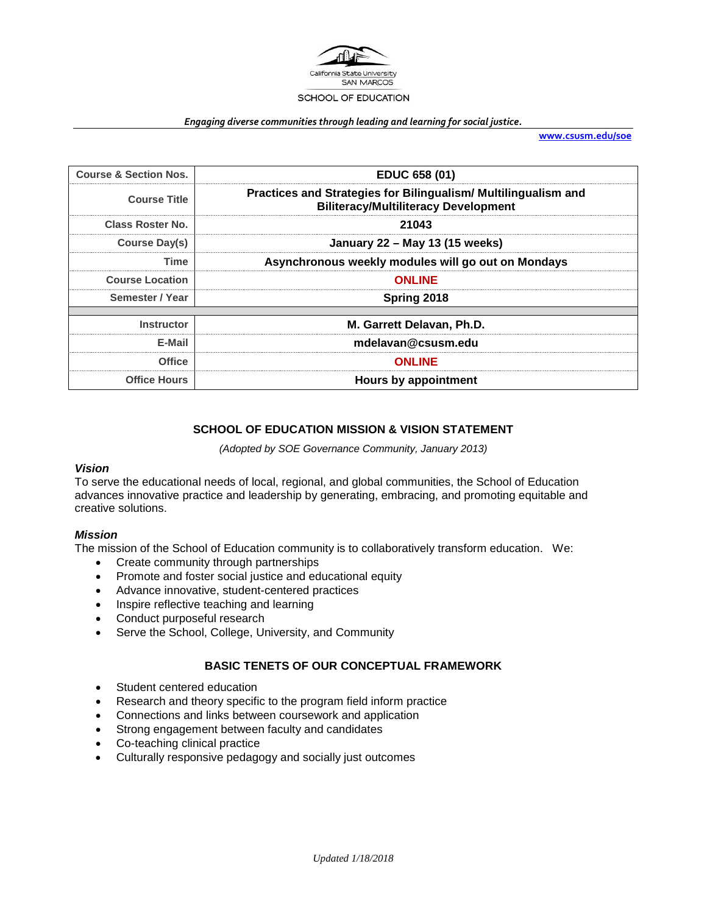

#### *Engaging diverse communities through leading and learning for social justice.*

**[www.csusm.edu/soe](http://www.csusm.edu/soe)**

| <b>Course &amp; Section Nos.</b> | EDUC 658 (01)                                                                                                 |  |
|----------------------------------|---------------------------------------------------------------------------------------------------------------|--|
| <b>Course Title</b>              | Practices and Strategies for Bilingualism/ Multilingualism and<br><b>Biliteracy/Multiliteracy Development</b> |  |
| <b>Class Roster No.</b>          | 21043                                                                                                         |  |
| Course Day(s)                    | January 22 - May 13 (15 weeks)                                                                                |  |
| Time                             | Asynchronous weekly modules will go out on Mondays                                                            |  |
| <b>Course Location</b>           | <b>ONLINE</b>                                                                                                 |  |
| Semester / Year                  | Spring 2018                                                                                                   |  |
|                                  |                                                                                                               |  |
| <b>Instructor</b>                | M. Garrett Delavan. Ph.D.                                                                                     |  |
| E-Mail                           | mdelavan@csusm.edu                                                                                            |  |
| Office                           | <b>ONLINE</b>                                                                                                 |  |
| <b>Office Hours</b>              | <b>Hours by appointment</b>                                                                                   |  |

## **SCHOOL OF EDUCATION MISSION & VISION STATEMENT**

*(Adopted by SOE Governance Community, January 2013)*

#### *Vision*

To serve the educational needs of local, regional, and global communities, the School of Education advances innovative practice and leadership by generating, embracing, and promoting equitable and creative solutions.

#### *Mission*

The mission of the School of Education community is to collaboratively transform education. We:

- Create community through partnerships
- Promote and foster social justice and educational equity
- Advance innovative, student-centered practices
- Inspire reflective teaching and learning
- Conduct purposeful research
- Serve the School, College, University, and Community

## **BASIC TENETS OF OUR CONCEPTUAL FRAMEWORK**

- Student centered education
- Research and theory specific to the program field inform practice
- Connections and links between coursework and application
- Strong engagement between faculty and candidates
- Co-teaching clinical practice
- Culturally responsive pedagogy and socially just outcomes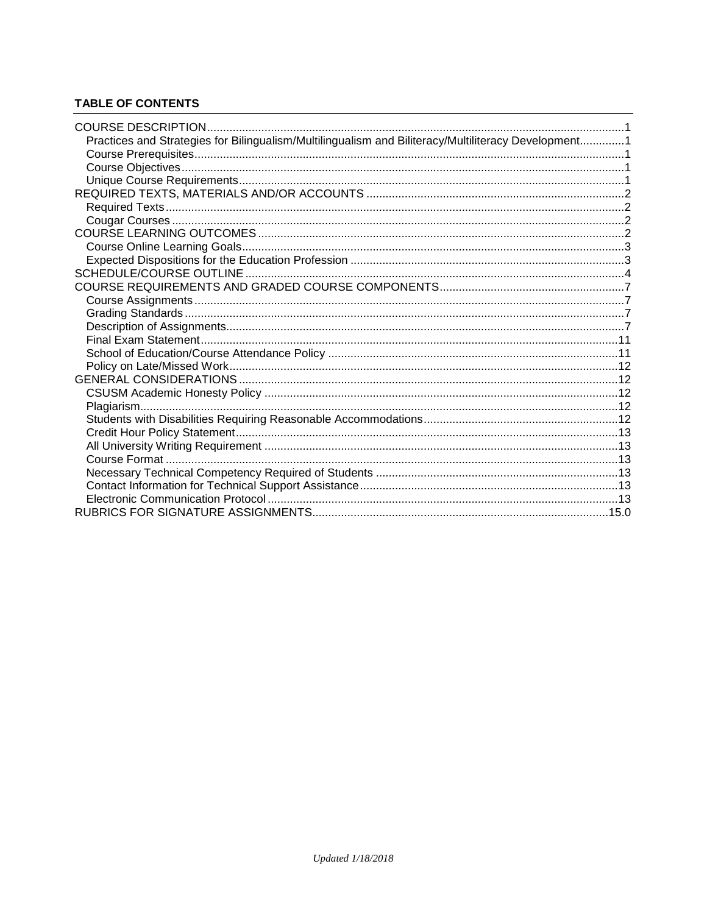# **TABLE OF CONTENTS**

| Practices and Strategies for Bilingualism/Multilingualism and Biliteracy/Multiliteracy Development1 |  |
|-----------------------------------------------------------------------------------------------------|--|
|                                                                                                     |  |
|                                                                                                     |  |
|                                                                                                     |  |
|                                                                                                     |  |
|                                                                                                     |  |
|                                                                                                     |  |
|                                                                                                     |  |
|                                                                                                     |  |
|                                                                                                     |  |
|                                                                                                     |  |
|                                                                                                     |  |
|                                                                                                     |  |
|                                                                                                     |  |
|                                                                                                     |  |
|                                                                                                     |  |
|                                                                                                     |  |
|                                                                                                     |  |
|                                                                                                     |  |
|                                                                                                     |  |
|                                                                                                     |  |
|                                                                                                     |  |
|                                                                                                     |  |
|                                                                                                     |  |
|                                                                                                     |  |
|                                                                                                     |  |
|                                                                                                     |  |
|                                                                                                     |  |
|                                                                                                     |  |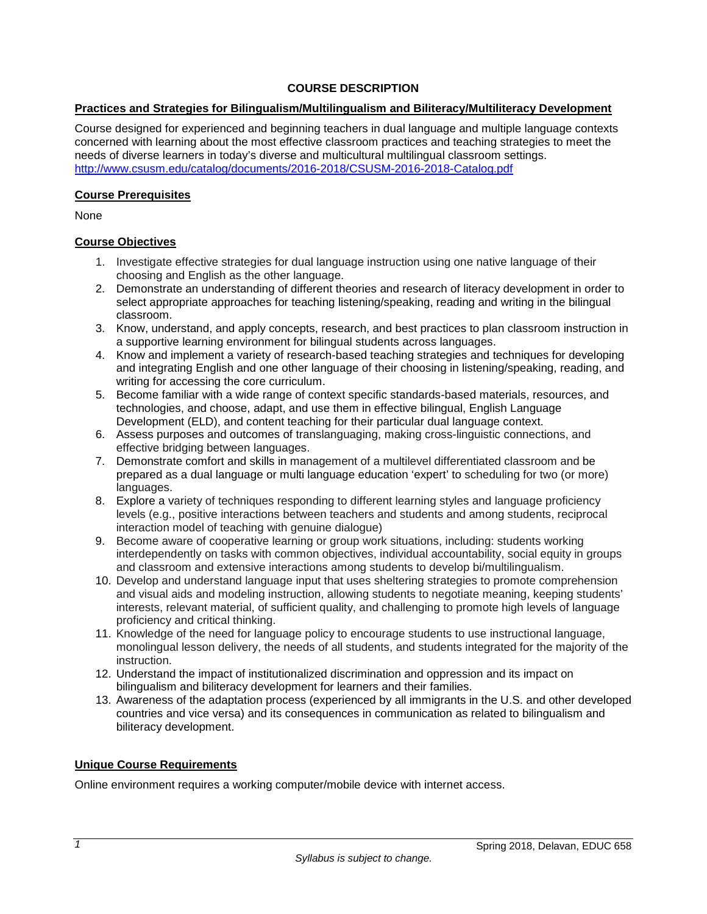## **COURSE DESCRIPTION**

## <span id="page-2-1"></span><span id="page-2-0"></span>**Practices and Strategies for Bilingualism/Multilingualism and Biliteracy/Multiliteracy Development**

Course designed for experienced and beginning teachers in dual language and multiple language contexts concerned with learning about the most effective classroom practices and teaching strategies to meet the needs of diverse learners in today's diverse and multicultural multilingual classroom settings. <http://www.csusm.edu/catalog/documents/2016-2018/CSUSM-2016-2018-Catalog.pdf>

#### <span id="page-2-2"></span>**Course Prerequisites**

None

## <span id="page-2-3"></span>**Course Objectives**

- 1. Investigate effective strategies for dual language instruction using one native language of their choosing and English as the other language.
- 2. Demonstrate an understanding of different theories and research of literacy development in order to select appropriate approaches for teaching listening/speaking, reading and writing in the bilingual classroom.
- 3. Know, understand, and apply concepts, research, and best practices to plan classroom instruction in a supportive learning environment for bilingual students across languages.
- 4. Know and implement a variety of research-based teaching strategies and techniques for developing and integrating English and one other language of their choosing in listening/speaking, reading, and writing for accessing the core curriculum.
- 5. Become familiar with a wide range of context specific standards-based materials, resources, and technologies, and choose, adapt, and use them in effective bilingual, English Language Development (ELD), and content teaching for their particular dual language context.
- 6. Assess purposes and outcomes of translanguaging, making cross-linguistic connections, and effective bridging between languages.
- 7. Demonstrate comfort and skills in management of a multilevel differentiated classroom and be prepared as a dual language or multi language education 'expert' to scheduling for two (or more) languages.
- 8. Explore a variety of techniques responding to different learning styles and language proficiency levels (e.g., positive interactions between teachers and students and among students, reciprocal interaction model of teaching with genuine dialogue)
- 9. Become aware of cooperative learning or group work situations, including: students working interdependently on tasks with common objectives, individual accountability, social equity in groups and classroom and extensive interactions among students to develop bi/multilingualism.
- 10. Develop and understand language input that uses sheltering strategies to promote comprehension and visual aids and modeling instruction, allowing students to negotiate meaning, keeping students' interests, relevant material, of sufficient quality, and challenging to promote high levels of language proficiency and critical thinking.
- 11. Knowledge of the need for language policy to encourage students to use instructional language, monolingual lesson delivery, the needs of all students, and students integrated for the majority of the instruction.
- 12. Understand the impact of institutionalized discrimination and oppression and its impact on bilingualism and biliteracy development for learners and their families.
- 13. Awareness of the adaptation process (experienced by all immigrants in the U.S. and other developed countries and vice versa) and its consequences in communication as related to bilingualism and biliteracy development.

## <span id="page-2-4"></span>**Unique Course Requirements**

Online environment requires a working computer/mobile device with internet access.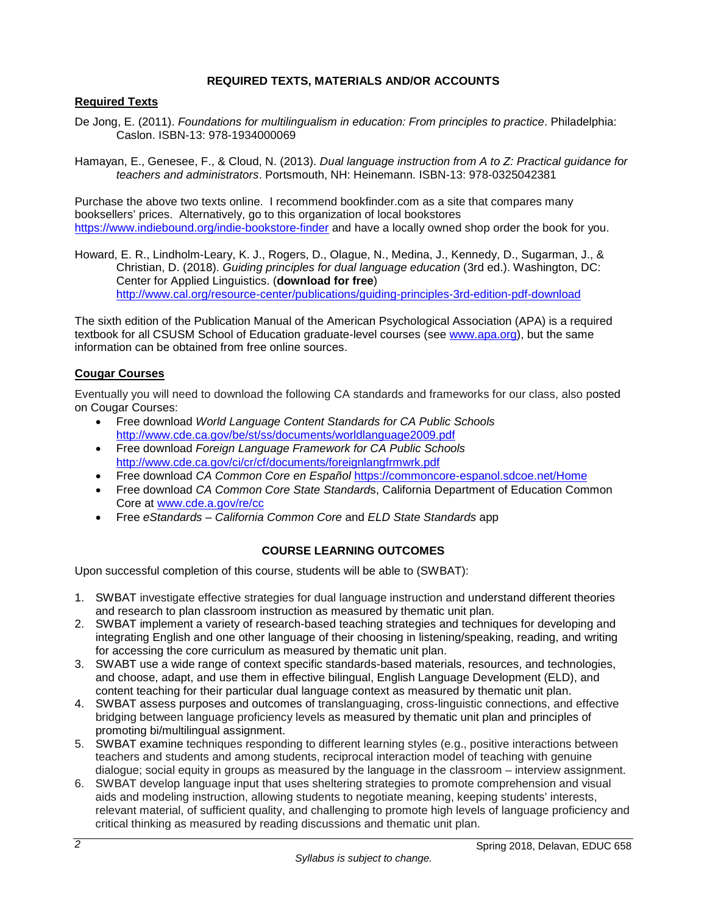## **REQUIRED TEXTS, MATERIALS AND/OR ACCOUNTS**

## <span id="page-3-1"></span><span id="page-3-0"></span>**Required Texts**

- De Jong, E. (2011). *Foundations for multilingualism in education: From principles to practice*. Philadelphia: Caslon. ISBN-13: 978-1934000069
- Hamayan, E., Genesee, F., & Cloud, N. (2013). *Dual language instruction from A to Z: Practical guidance for teachers and administrators*. Portsmouth, NH: Heinemann. ISBN-13: 978-0325042381

Purchase the above two texts online. I recommend bookfinder.com as a site that compares many booksellers' prices. Alternatively, go to this organization of local bookstores <https://www.indiebound.org/indie-bookstore-finder> and have a locally owned shop order the book for you.

Howard, E. R., Lindholm-Leary, K. J., Rogers, D., Olague, N., Medina, J., Kennedy, D., Sugarman, J., & Christian, D. (2018). *Guiding principles for dual language education* (3rd ed.). Washington, DC: Center for Applied Linguistics. (**download for free**) <http://www.cal.org/resource-center/publications/guiding-principles-3rd-edition-pdf-download>

The sixth edition of the Publication Manual of the American Psychological Association (APA) is a required textbook for all CSUSM School of Education graduate-level courses (see [www.apa.org\)](http://www.apa.org/), but the same information can be obtained from free online sources.

#### <span id="page-3-2"></span>**Cougar Courses**

Eventually you will need to download the following CA standards and frameworks for our class, also posted on Cougar Courses:

- Free download *World Language Content Standards for CA Public Schools* <http://www.cde.ca.gov/be/st/ss/documents/worldlanguage2009.pdf>
- Free download *Foreign Language Framework for CA Public Schools* <http://www.cde.ca.gov/ci/cr/cf/documents/foreignlangfrmwrk.pdf>
- Free download *CA Common Core en Español* <https://commoncore-espanol.sdcoe.net/Home>
- Free download *CA Common Core State Standard*s, California Department of Education Common Core at [www.cde.a.gov/re/cc](http://www.cde.a.gov/re/cc)
- Free *eStandards California Common Core* and *ELD State Standards* app

## **COURSE LEARNING OUTCOMES**

<span id="page-3-3"></span>Upon successful completion of this course, students will be able to (SWBAT):

- 1. SWBAT investigate effective strategies for dual language instruction and understand different theories and research to plan classroom instruction as measured by thematic unit plan.
- 2. SWBAT implement a variety of research-based teaching strategies and techniques for developing and integrating English and one other language of their choosing in listening/speaking, reading, and writing for accessing the core curriculum as measured by thematic unit plan.
- 3. SWABT use a wide range of context specific standards-based materials, resources, and technologies, and choose, adapt, and use them in effective bilingual, English Language Development (ELD), and content teaching for their particular dual language context as measured by thematic unit plan.
- 4. SWBAT assess purposes and outcomes of translanguaging, cross-linguistic connections, and effective bridging between language proficiency levels as measured by thematic unit plan and principles of promoting bi/multilingual assignment.
- 5. SWBAT examine techniques responding to different learning styles (e.g., positive interactions between teachers and students and among students, reciprocal interaction model of teaching with genuine dialogue; social equity in groups as measured by the language in the classroom – interview assignment.
- 6. SWBAT develop language input that uses sheltering strategies to promote comprehension and visual aids and modeling instruction, allowing students to negotiate meaning, keeping students' interests, relevant material, of sufficient quality, and challenging to promote high levels of language proficiency and critical thinking as measured by reading discussions and thematic unit plan.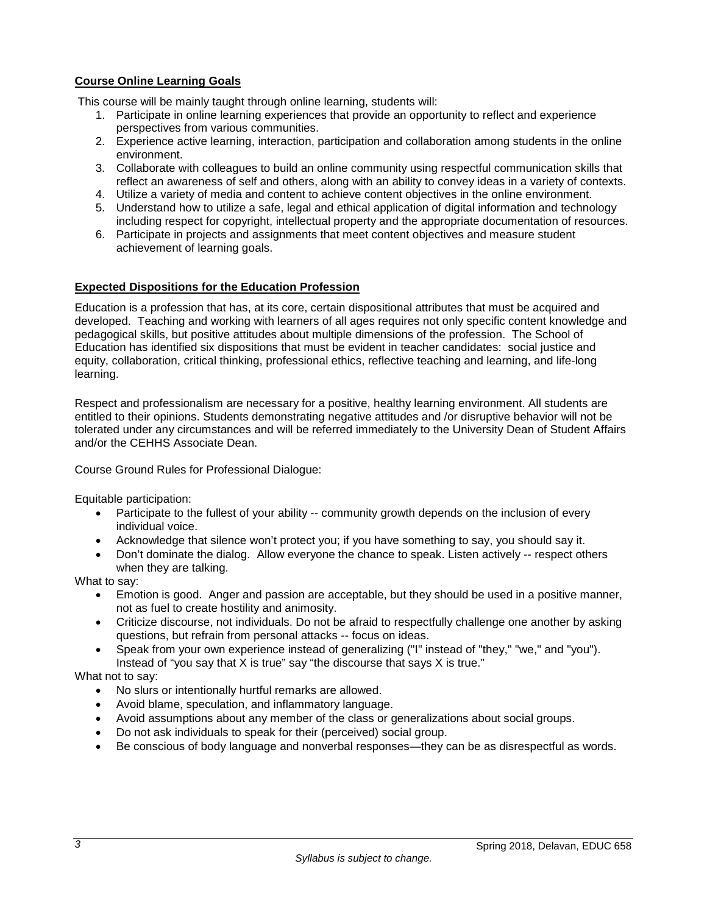# <span id="page-4-0"></span>**Course Online Learning Goals**

This course will be mainly taught through online learning, students will:

- 1. Participate in online learning experiences that provide an opportunity to reflect and experience perspectives from various communities.
- 2. Experience active learning, interaction, participation and collaboration among students in the online environment.
- 3. Collaborate with colleagues to build an online community using respectful communication skills that reflect an awareness of self and others, along with an ability to convey ideas in a variety of contexts.
- 4. Utilize a variety of media and content to achieve content objectives in the online environment.
- 5. Understand how to utilize a safe, legal and ethical application of digital information and technology including respect for copyright, intellectual property and the appropriate documentation of resources.
- 6. Participate in projects and assignments that meet content objectives and measure student achievement of learning goals.

#### <span id="page-4-1"></span>**Expected Dispositions for the Education Profession**

Education is a profession that has, at its core, certain dispositional attributes that must be acquired and developed. Teaching and working with learners of all ages requires not only specific content knowledge and pedagogical skills, but positive attitudes about multiple dimensions of the profession. The School of Education has identified six dispositions that must be evident in teacher candidates: social justice and equity, collaboration, critical thinking, professional ethics, reflective teaching and learning, and life-long learning.

Respect and professionalism are necessary for a positive, healthy learning environment. All students are entitled to their opinions. Students demonstrating negative attitudes and /or disruptive behavior will not be tolerated under any circumstances and will be referred immediately to the University Dean of Student Affairs and/or the CEHHS Associate Dean.

Course Ground Rules for Professional Dialogue:

Equitable participation:

- Participate to the fullest of your ability -- community growth depends on the inclusion of every individual voice.
- Acknowledge that silence won't protect you; if you have something to say, you should say it.
- Don't dominate the dialog. Allow everyone the chance to speak. Listen actively -- respect others when they are talking.

What to say:

- Emotion is good. Anger and passion are acceptable, but they should be used in a positive manner, not as fuel to create hostility and animosity.
- Criticize discourse, not individuals. Do not be afraid to respectfully challenge one another by asking questions, but refrain from personal attacks -- focus on ideas.
- Speak from your own experience instead of generalizing ("I" instead of "they," "we," and "you"). Instead of "you say that X is true" say "the discourse that says X is true."

What not to say:

- No slurs or intentionally hurtful remarks are allowed.
- Avoid blame, speculation, and inflammatory language.
- Avoid assumptions about any member of the class or generalizations about social groups.
- Do not ask individuals to speak for their (perceived) social group.
- Be conscious of body language and nonverbal responses—they can be as disrespectful as words.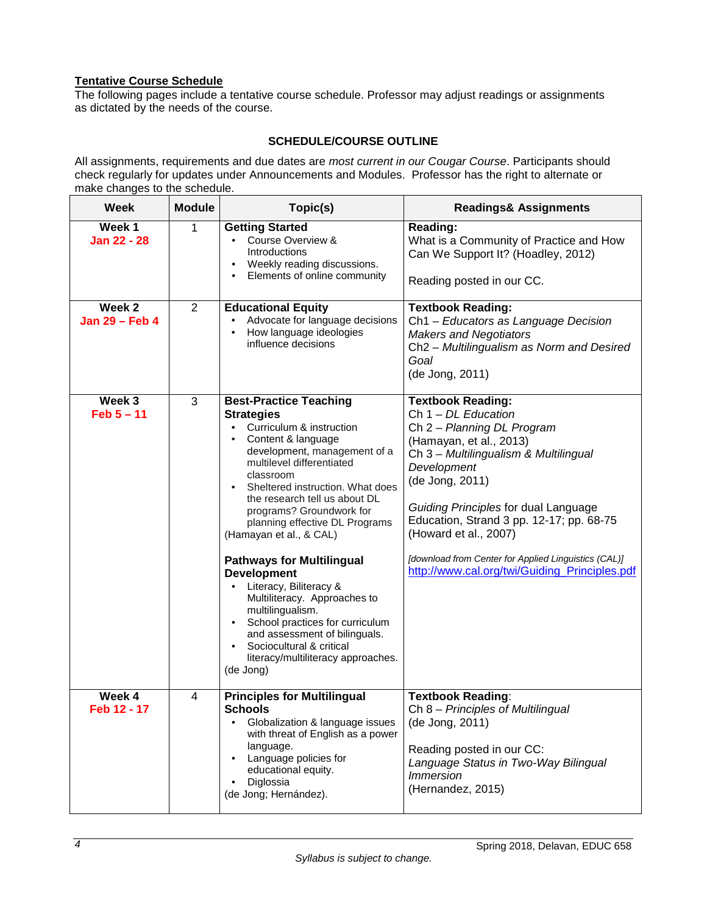# **Tentative Course Schedule**

The following pages include a tentative course schedule. Professor may adjust readings or assignments as dictated by the needs of the course.

#### **SCHEDULE/COURSE OUTLINE**

<span id="page-5-0"></span>All assignments, requirements and due dates are *most current in our Cougar Course*. Participants should check regularly for updates under Announcements and Modules. Professor has the right to alternate or make changes to the schedule.

| Week                     | <b>Module</b>  | Topic(s)                                                                                                                                                                                                                                                                                                                                                                                                                                                                                                                                                                                                                                                                                    | <b>Readings&amp; Assignments</b>                                                                                                                                                                                                                                                                                                                                                                            |  |
|--------------------------|----------------|---------------------------------------------------------------------------------------------------------------------------------------------------------------------------------------------------------------------------------------------------------------------------------------------------------------------------------------------------------------------------------------------------------------------------------------------------------------------------------------------------------------------------------------------------------------------------------------------------------------------------------------------------------------------------------------------|-------------------------------------------------------------------------------------------------------------------------------------------------------------------------------------------------------------------------------------------------------------------------------------------------------------------------------------------------------------------------------------------------------------|--|
| Week 1<br>Jan 22 - 28    | 1              | <b>Getting Started</b><br>Course Overview &<br>$\bullet$<br>Introductions<br>Weekly reading discussions.<br>$\bullet$<br>Elements of online community<br>$\bullet$                                                                                                                                                                                                                                                                                                                                                                                                                                                                                                                          | Reading:<br>What is a Community of Practice and How<br>Can We Support It? (Hoadley, 2012)<br>Reading posted in our CC.                                                                                                                                                                                                                                                                                      |  |
| Week 2<br>Jan 29 - Feb 4 | $\overline{2}$ | <b>Educational Equity</b><br>Advocate for language decisions<br>How language ideologies<br>$\bullet$<br>influence decisions                                                                                                                                                                                                                                                                                                                                                                                                                                                                                                                                                                 | <b>Textbook Reading:</b><br>Ch1 - Educators as Language Decision<br><b>Makers and Negotiators</b><br>Ch2 - Multilingualism as Norm and Desired<br>Goal<br>(de Jong, 2011)                                                                                                                                                                                                                                   |  |
| Week 3<br>$Feb 5 - 11$   | 3              | <b>Best-Practice Teaching</b><br><b>Strategies</b><br>Curriculum & instruction<br>$\bullet$<br>Content & language<br>development, management of a<br>multilevel differentiated<br>classroom<br>Sheltered instruction. What does<br>the research tell us about DL<br>programs? Groundwork for<br>planning effective DL Programs<br>(Hamayan et al., & CAL)<br><b>Pathways for Multilingual</b><br><b>Development</b><br>Literacy, Biliteracy &<br>$\bullet$<br>Multiliteracy. Approaches to<br>multilingualism.<br>School practices for curriculum<br>$\bullet$<br>and assessment of bilinguals.<br>Sociocultural & critical<br>$\bullet$<br>literacy/multiliteracy approaches.<br>(de Jong) | <b>Textbook Reading:</b><br>Ch $1 - DL$ Education<br>Ch 2 - Planning DL Program<br>(Hamayan, et al., 2013)<br>Ch 3 - Multilingualism & Multilingual<br>Development<br>(de Jong, 2011)<br>Guiding Principles for dual Language<br>Education, Strand 3 pp. 12-17; pp. 68-75<br>(Howard et al., 2007)<br>[download from Center for Applied Linguistics (CAL)]<br>http://www.cal.org/twi/Guiding_Principles.pdf |  |
| Week 4<br>Feb 12 - 17    | 4              | <b>Principles for Multilingual</b><br><b>Schools</b><br>Globalization & language issues<br>with threat of English as a power<br>language.<br>Language policies for<br>$\bullet$<br>educational equity.<br>Diglossia<br>$\bullet$<br>(de Jong; Hernández).                                                                                                                                                                                                                                                                                                                                                                                                                                   | <b>Textbook Reading:</b><br>Ch 8 - Principles of Multilingual<br>(de Jong, 2011)<br>Reading posted in our CC:<br>Language Status in Two-Way Bilingual<br><b>Immersion</b><br>(Hernandez, 2015)                                                                                                                                                                                                              |  |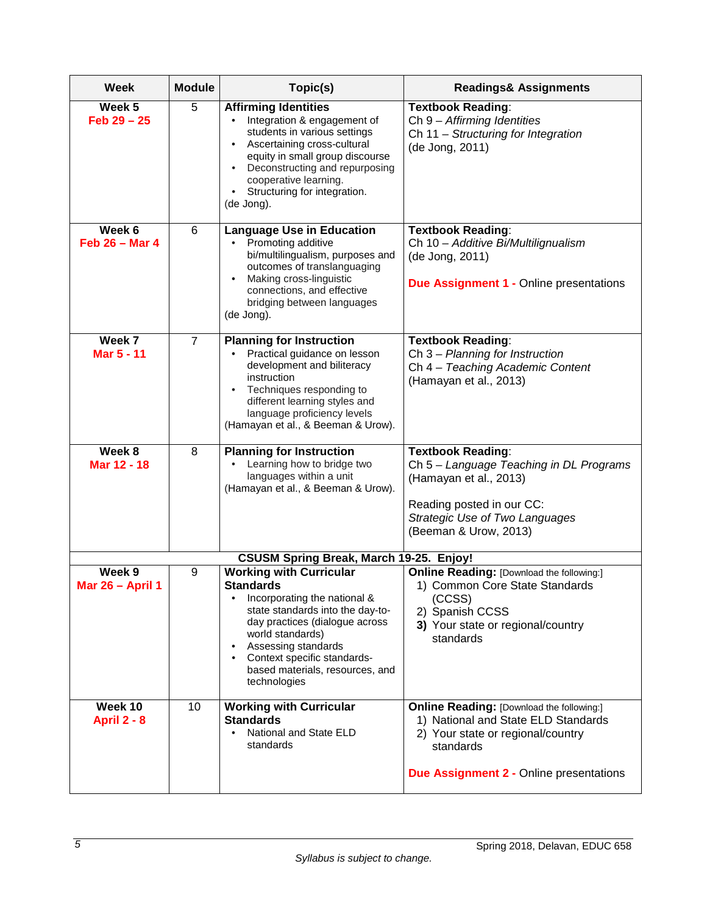| <b>Week</b>                           | <b>Module</b><br>Topic(s) |                                                                                                                                                                                                                                                                                                              | <b>Readings&amp; Assignments</b>                                                                                                                                                            |  |
|---------------------------------------|---------------------------|--------------------------------------------------------------------------------------------------------------------------------------------------------------------------------------------------------------------------------------------------------------------------------------------------------------|---------------------------------------------------------------------------------------------------------------------------------------------------------------------------------------------|--|
| Week 5<br>$Feb 29 - 25$               | 5                         | <b>Affirming Identities</b><br>Integration & engagement of<br>students in various settings<br>Ascertaining cross-cultural<br>٠<br>equity in small group discourse<br>Deconstructing and repurposing<br>$\bullet$<br>cooperative learning.<br>Structuring for integration.<br>$\bullet$<br>(de Jong).         | <b>Textbook Reading:</b><br>Ch 9 - Affirming Identities<br>Ch 11 - Structuring for Integration<br>(de Jong, 2011)                                                                           |  |
| Week 6<br>Feb $26 - Mar 4$            | 6                         | <b>Language Use in Education</b><br>Promoting additive<br>bi/multilingualism, purposes and<br>outcomes of translanguaging<br>Making cross-linguistic<br>$\bullet$<br>connections, and effective<br>bridging between languages<br>(de Jong).                                                                  | <b>Textbook Reading:</b><br>Ch 10 - Additive Bi/Multilignualism<br>(de Jong, 2011)<br><b>Due Assignment 1 - Online presentations</b>                                                        |  |
| Week 7<br>Mar 5 - 11                  | $\overline{7}$            | <b>Planning for Instruction</b><br>Practical guidance on lesson<br>development and biliteracy<br>instruction<br>Techniques responding to<br>$\bullet$<br>different learning styles and<br>language proficiency levels<br>(Hamayan et al., & Beeman & Urow).                                                  | <b>Textbook Reading:</b><br>Ch 3 - Planning for Instruction<br>Ch 4 - Teaching Academic Content<br>(Hamayan et al., 2013)                                                                   |  |
| Week 8<br>Mar 12 - 18                 | 8                         | <b>Planning for Instruction</b><br>Learning how to bridge two<br>languages within a unit<br>(Hamayan et al., & Beeman & Urow).                                                                                                                                                                               | <b>Textbook Reading:</b><br>Ch 5 - Language Teaching in DL Programs<br>(Hamayan et al., 2013)<br>Reading posted in our CC:<br>Strategic Use of Two Languages<br>(Beeman & Urow, 2013)       |  |
|                                       |                           | <b>CSUSM Spring Break, March 19-25. Enjoy!</b>                                                                                                                                                                                                                                                               |                                                                                                                                                                                             |  |
| Week <sub>9</sub><br>Mar 26 - April 1 | 9                         | <b>Working with Curricular</b><br><b>Standards</b><br>Incorporating the national &<br>٠<br>state standards into the day-to-<br>day practices (dialogue across<br>world standards)<br>Assessing standards<br>٠<br>Context specific standards-<br>$\bullet$<br>based materials, resources, and<br>technologies | <b>Online Reading: [Download the following:]</b><br>1) Common Core State Standards<br>(CCSS)<br>2) Spanish CCSS<br>3) Your state or regional/country<br>standards                           |  |
| Week 10<br><b>April 2 - 8</b>         | 10                        | <b>Working with Curricular</b><br><b>Standards</b><br>National and State ELD<br>standards                                                                                                                                                                                                                    | <b>Online Reading: [Download the following:]</b><br>1) National and State ELD Standards<br>2) Your state or regional/country<br>standards<br><b>Due Assignment 2 - Online presentations</b> |  |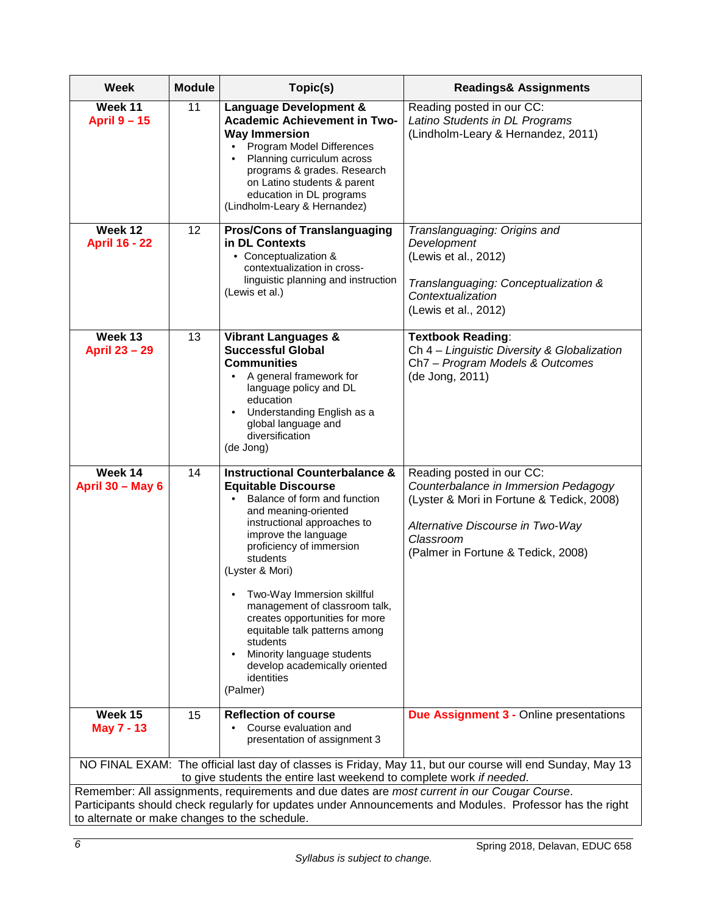| <b>Week</b>                                                                                                                                                                                                                                               | <b>Module</b> | Topic(s)                                                                                                                                                                                                                                                                                                                                                                                                                                                                                              | <b>Readings&amp; Assignments</b>                                                                                                                                                                      |  |
|-----------------------------------------------------------------------------------------------------------------------------------------------------------------------------------------------------------------------------------------------------------|---------------|-------------------------------------------------------------------------------------------------------------------------------------------------------------------------------------------------------------------------------------------------------------------------------------------------------------------------------------------------------------------------------------------------------------------------------------------------------------------------------------------------------|-------------------------------------------------------------------------------------------------------------------------------------------------------------------------------------------------------|--|
| Week 11<br><b>April 9 - 15</b>                                                                                                                                                                                                                            | 11            | <b>Language Development &amp;</b><br><b>Academic Achievement in Two-</b><br><b>Way Immersion</b><br>Program Model Differences<br>$\bullet$<br>Planning curriculum across<br>programs & grades. Research<br>on Latino students & parent<br>education in DL programs<br>(Lindholm-Leary & Hernandez)                                                                                                                                                                                                    | Reading posted in our CC:<br>Latino Students in DL Programs<br>(Lindholm-Leary & Hernandez, 2011)                                                                                                     |  |
| Week 12<br><b>April 16 - 22</b>                                                                                                                                                                                                                           | 12            | <b>Pros/Cons of Translanguaging</b><br>in DL Contexts<br>• Conceptualization &<br>contextualization in cross-<br>linguistic planning and instruction<br>(Lewis et al.)                                                                                                                                                                                                                                                                                                                                | Translanguaging: Origins and<br>Development<br>(Lewis et al., 2012)<br>Translanguaging: Conceptualization &<br>Contextualization<br>(Lewis et al., 2012)                                              |  |
| Week 13<br><b>April 23 - 29</b>                                                                                                                                                                                                                           | 13            | <b>Vibrant Languages &amp;</b><br><b>Successful Global</b><br><b>Communities</b><br>A general framework for<br>$\bullet$<br>language policy and DL<br>education<br>Understanding English as a<br>$\bullet$<br>global language and<br>diversification<br>(de Jong)                                                                                                                                                                                                                                     | <b>Textbook Reading:</b><br>Ch 4 - Linguistic Diversity & Globalization<br>Ch7 - Program Models & Outcomes<br>(de Jong, 2011)                                                                         |  |
| Week 14<br><b>April 30 - May 6</b>                                                                                                                                                                                                                        | 14            | <b>Instructional Counterbalance &amp;</b><br><b>Equitable Discourse</b><br>Balance of form and function<br>and meaning-oriented<br>instructional approaches to<br>improve the language<br>proficiency of immersion<br>students<br>(Lyster & Mori)<br>Two-Way Immersion skillful<br>management of classroom talk,<br>creates opportunities for more<br>equitable talk patterns among<br>students<br>Minority language students<br>$\bullet$<br>develop academically oriented<br>identities<br>(Palmer) | Reading posted in our CC:<br>Counterbalance in Immersion Pedagogy<br>(Lyster & Mori in Fortune & Tedick, 2008)<br>Alternative Discourse in Two-Way<br>Classroom<br>(Palmer in Fortune & Tedick, 2008) |  |
| Week 15<br><b>May 7 - 13</b>                                                                                                                                                                                                                              | 15            | <b>Reflection of course</b><br>Course evaluation and<br>presentation of assignment 3                                                                                                                                                                                                                                                                                                                                                                                                                  | <b>Due Assignment 3 - Online presentations</b>                                                                                                                                                        |  |
|                                                                                                                                                                                                                                                           |               | to give students the entire last weekend to complete work if needed.                                                                                                                                                                                                                                                                                                                                                                                                                                  | NO FINAL EXAM: The official last day of classes is Friday, May 11, but our course will end Sunday, May 13                                                                                             |  |
| Remember: All assignments, requirements and due dates are most current in our Cougar Course.<br>Participants should check regularly for updates under Announcements and Modules. Professor has the right<br>to alternate or make changes to the schedule. |               |                                                                                                                                                                                                                                                                                                                                                                                                                                                                                                       |                                                                                                                                                                                                       |  |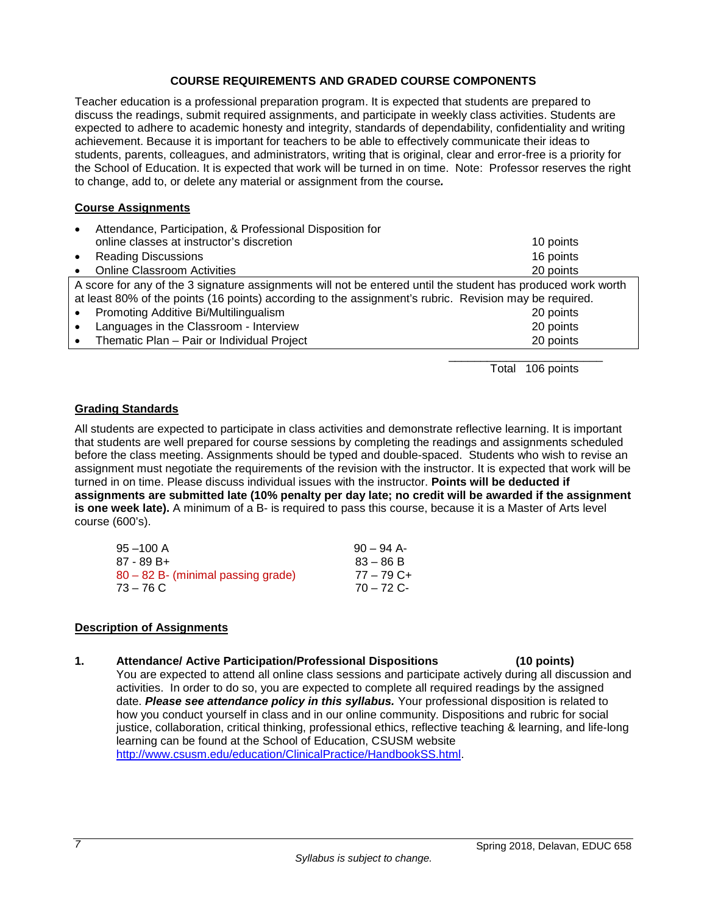#### **COURSE REQUIREMENTS AND GRADED COURSE COMPONENTS**

<span id="page-8-0"></span>Teacher education is a professional preparation program. It is expected that students are prepared to discuss the readings, submit required assignments, and participate in weekly class activities. Students are expected to adhere to academic honesty and integrity, standards of dependability, confidentiality and writing achievement. Because it is important for teachers to be able to effectively communicate their ideas to students, parents, colleagues, and administrators, writing that is original, clear and error-free is a priority for the School of Education. It is expected that work will be turned in on time. Note: Professor reserves the right to change, add to, or delete any material or assignment from the course*.*

## <span id="page-8-1"></span>**Course Assignments**

| $\bullet$ | Attendance, Participation, & Professional Disposition for                                                    |           |
|-----------|--------------------------------------------------------------------------------------------------------------|-----------|
|           | online classes at instructor's discretion                                                                    | 10 points |
| $\bullet$ | <b>Reading Discussions</b>                                                                                   | 16 points |
| $\bullet$ | <b>Online Classroom Activities</b>                                                                           | 20 points |
|           | A score for any of the 3 signature assignments will not be entered until the student has produced work worth |           |
|           | at least 80% of the points (16 points) according to the assignment's rubric. Revision may be required.       |           |
| $\bullet$ | Promoting Additive Bi/Multilingualism                                                                        | 20 points |
| $\bullet$ | Languages in the Classroom - Interview                                                                       | 20 points |
|           | • Thematic Plan $-$ Pair or Individual Project                                                               | 20 points |
|           |                                                                                                              |           |

Total 106 points

## <span id="page-8-2"></span>**Grading Standards**

All students are expected to participate in class activities and demonstrate reflective learning. It is important that students are well prepared for course sessions by completing the readings and assignments scheduled before the class meeting. Assignments should be typed and double-spaced. Students who wish to revise an assignment must negotiate the requirements of the revision with the instructor. It is expected that work will be turned in on time. Please discuss individual issues with the instructor. **Points will be deducted if assignments are submitted late (10% penalty per day late; no credit will be awarded if the assignment is one week late).** A minimum of a B- is required to pass this course, because it is a Master of Arts level course (600's).

| $95 - 100$ A                       | $90 - 94$ A- |
|------------------------------------|--------------|
| $87 - 89B +$                       | $83 - 86 B$  |
| 80 – 82 B- (minimal passing grade) | $77 - 79$ C+ |
| $73 - 76$ C                        | 70 – 72 C-   |

## <span id="page-8-3"></span>**Description of Assignments**

#### **1. Attendance/ Active Participation/Professional Dispositions (10 points)**

You are expected to attend all online class sessions and participate actively during all discussion and activities. In order to do so, you are expected to complete all required readings by the assigned date. *Please see attendance policy in this syllabus.* Your professional disposition is related to how you conduct yourself in class and in our online community. Dispositions and rubric for social justice, collaboration, critical thinking, professional ethics, reflective teaching & learning, and life-long learning can be found at the School of Education, CSUSM website [http://www.csusm.edu/education/ClinicalPractice/HandbookSS.html.](http://www.csusm.edu/education/ClinicalPractice/HandbookSS.html)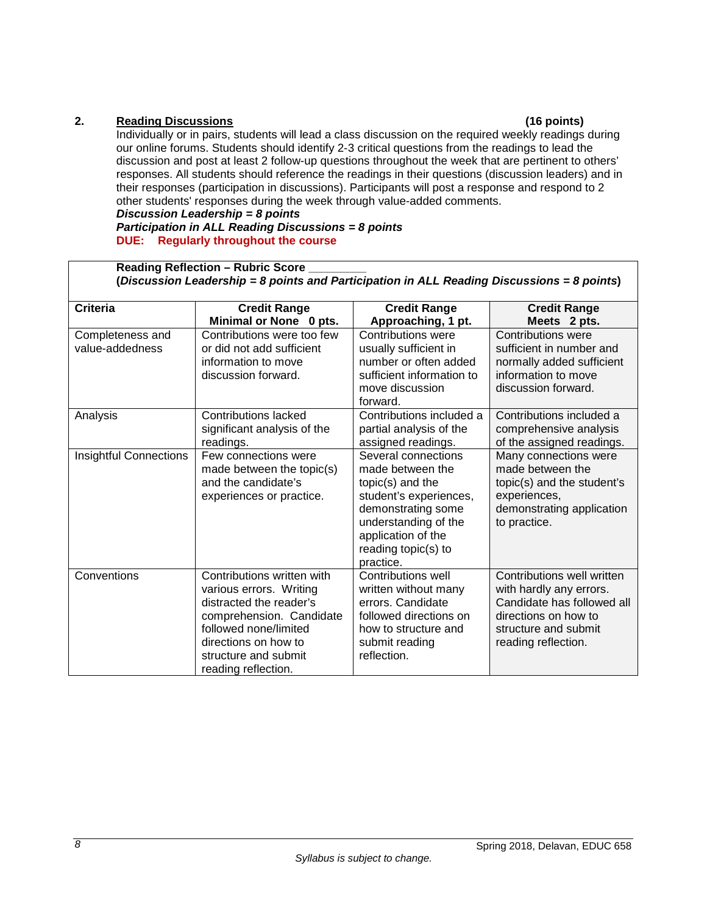## **2. Reading Discussions (16 points)**

Individually or in pairs, students will lead a class discussion on the required weekly readings during our online forums. Students should identify 2-3 critical questions from the readings to lead the discussion and post at least 2 follow-up questions throughout the week that are pertinent to others' responses. All students should reference the readings in their questions (discussion leaders) and in their responses (participation in discussions). Participants will post a response and respond to 2 other students' responses during the week through value-added comments.

#### *Discussion Leadership = 8 points*

#### *Participation in ALL Reading Discussions = 8 points* **DUE: Regularly throughout the course**

| <b>Reading Reflection - Rubric Score</b><br>(Discussion Leadership = 8 points and Participation in ALL Reading Discussions = 8 points) |                                                                                                                                                                                                              |                                                                                                                                                                                               |                                                                                                                                                            |  |  |
|----------------------------------------------------------------------------------------------------------------------------------------|--------------------------------------------------------------------------------------------------------------------------------------------------------------------------------------------------------------|-----------------------------------------------------------------------------------------------------------------------------------------------------------------------------------------------|------------------------------------------------------------------------------------------------------------------------------------------------------------|--|--|
| <b>Criteria</b>                                                                                                                        | <b>Credit Range</b><br>Minimal or None 0 pts.                                                                                                                                                                | <b>Credit Range</b><br>Approaching, 1 pt.                                                                                                                                                     | <b>Credit Range</b><br>Meets 2 pts.                                                                                                                        |  |  |
| Completeness and<br>value-addedness                                                                                                    | Contributions were too few<br>or did not add sufficient<br>information to move<br>discussion forward.                                                                                                        | <b>Contributions were</b><br>usually sufficient in<br>number or often added<br>sufficient information to<br>move discussion<br>forward.                                                       | Contributions were<br>sufficient in number and<br>normally added sufficient<br>information to move<br>discussion forward.                                  |  |  |
| Analysis                                                                                                                               | <b>Contributions lacked</b><br>significant analysis of the<br>readings.                                                                                                                                      | Contributions included a<br>partial analysis of the<br>assigned readings.                                                                                                                     | Contributions included a<br>comprehensive analysis<br>of the assigned readings.                                                                            |  |  |
| <b>Insightful Connections</b>                                                                                                          | Few connections were<br>made between the topic(s)<br>and the candidate's<br>experiences or practice.                                                                                                         | Several connections<br>made between the<br>topic(s) and the<br>student's experiences,<br>demonstrating some<br>understanding of the<br>application of the<br>reading topic(s) to<br>practice. | Many connections were<br>made between the<br>topic(s) and the student's<br>experiences,<br>demonstrating application<br>to practice.                       |  |  |
| Conventions                                                                                                                            | Contributions written with<br>various errors. Writing<br>distracted the reader's<br>comprehension. Candidate<br>followed none/limited<br>directions on how to<br>structure and submit<br>reading reflection. | Contributions well<br>written without many<br>errors. Candidate<br>followed directions on<br>how to structure and<br>submit reading<br>reflection.                                            | Contributions well written<br>with hardly any errors.<br>Candidate has followed all<br>directions on how to<br>structure and submit<br>reading reflection. |  |  |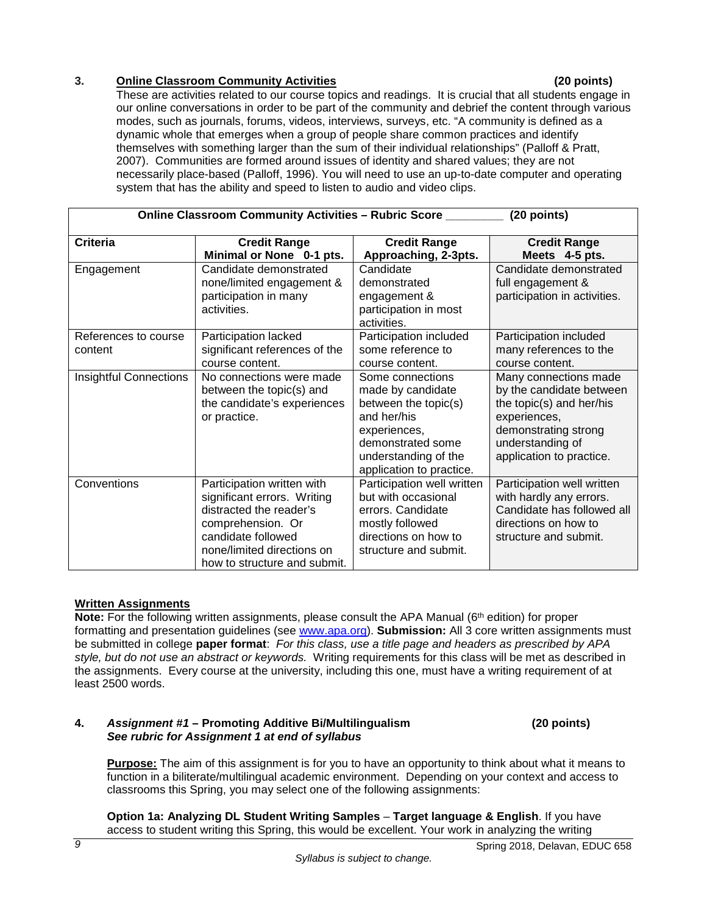## **3. Online Classroom Community Activities (20 points)**

These are activities related to our course topics and readings. It is crucial that all students engage in our online conversations in order to be part of the community and debrief the content through various modes, such as journals, forums, videos, interviews, surveys, etc. "A community is defined as a dynamic whole that emerges when a group of people share common practices and identify themselves with something larger than the sum of their individual relationships" (Palloff & Pratt, 2007). Communities are formed around issues of identity and shared values; they are not necessarily place-based (Palloff, 1996). You will need to use an up-to-date computer and operating system that has the ability and speed to listen to audio and video clips.

| Online Classroom Community Activities - Rubric Score ________<br>(20 points) |                                                       |                                             |                                                  |  |
|------------------------------------------------------------------------------|-------------------------------------------------------|---------------------------------------------|--------------------------------------------------|--|
| <b>Criteria</b>                                                              | <b>Credit Range</b>                                   | <b>Credit Range</b>                         | <b>Credit Range</b>                              |  |
|                                                                              | Minimal or None 0-1 pts.                              | Approaching, 2-3pts.                        | Meets 4-5 pts.                                   |  |
| Engagement                                                                   | Candidate demonstrated                                | Candidate                                   | Candidate demonstrated                           |  |
|                                                                              | none/limited engagement &                             | demonstrated                                | full engagement &                                |  |
|                                                                              | participation in many<br>activities.                  | engagement &                                | participation in activities.                     |  |
|                                                                              |                                                       | participation in most<br>activities.        |                                                  |  |
| References to course                                                         |                                                       |                                             |                                                  |  |
| content                                                                      | Participation lacked<br>significant references of the | Participation included<br>some reference to | Participation included<br>many references to the |  |
|                                                                              | course content.                                       | course content.                             | course content.                                  |  |
| <b>Insightful Connections</b>                                                | No connections were made                              | Some connections                            | Many connections made                            |  |
|                                                                              | between the topic(s) and                              | made by candidate                           | by the candidate between                         |  |
|                                                                              | the candidate's experiences                           | between the topic(s)                        | the topic(s) and her/his                         |  |
|                                                                              | or practice.                                          | and her/his                                 | experiences,                                     |  |
|                                                                              |                                                       | experiences,                                | demonstrating strong                             |  |
|                                                                              |                                                       | demonstrated some                           | understanding of                                 |  |
|                                                                              |                                                       | understanding of the                        | application to practice.                         |  |
|                                                                              |                                                       | application to practice.                    |                                                  |  |
| Conventions                                                                  | Participation written with                            | Participation well written                  | Participation well written                       |  |
|                                                                              | significant errors. Writing                           | but with occasional                         | with hardly any errors.                          |  |
|                                                                              | distracted the reader's                               | errors. Candidate                           | Candidate has followed all                       |  |
|                                                                              | comprehension. Or                                     | mostly followed                             | directions on how to                             |  |
|                                                                              | candidate followed                                    | directions on how to                        | structure and submit.                            |  |
|                                                                              | none/limited directions on                            | structure and submit.                       |                                                  |  |
|                                                                              | how to structure and submit.                          |                                             |                                                  |  |

## **Written Assignments**

**Note:** For the following written assignments, please consult the APA Manual (6<sup>th</sup> edition) for proper formatting and presentation guidelines (see [www.apa.org\)](http://www.apa.org/). **Submission:** All 3 core written assignments must be submitted in college **paper format**: *For this class, use a title page and headers as prescribed by APA style, but do not use an abstract or keywords.* Writing requirements for this class will be met as described in the assignments. Every course at the university, including this one, must have a writing requirement of at least 2500 words.

#### **4.** *Assignment #1 –* **Promoting Additive Bi/Multilingualism (20 points)**  *See rubric for Assignment 1 at end of syllabus*

**Purpose:** The aim of this assignment is for you to have an opportunity to think about what it means to function in a biliterate/multilingual academic environment. Depending on your context and access to classrooms this Spring, you may select one of the following assignments:

**Option 1a: Analyzing DL Student Writing Samples** – **Target language & English**. If you have access to student writing this Spring, this would be excellent. Your work in analyzing the writing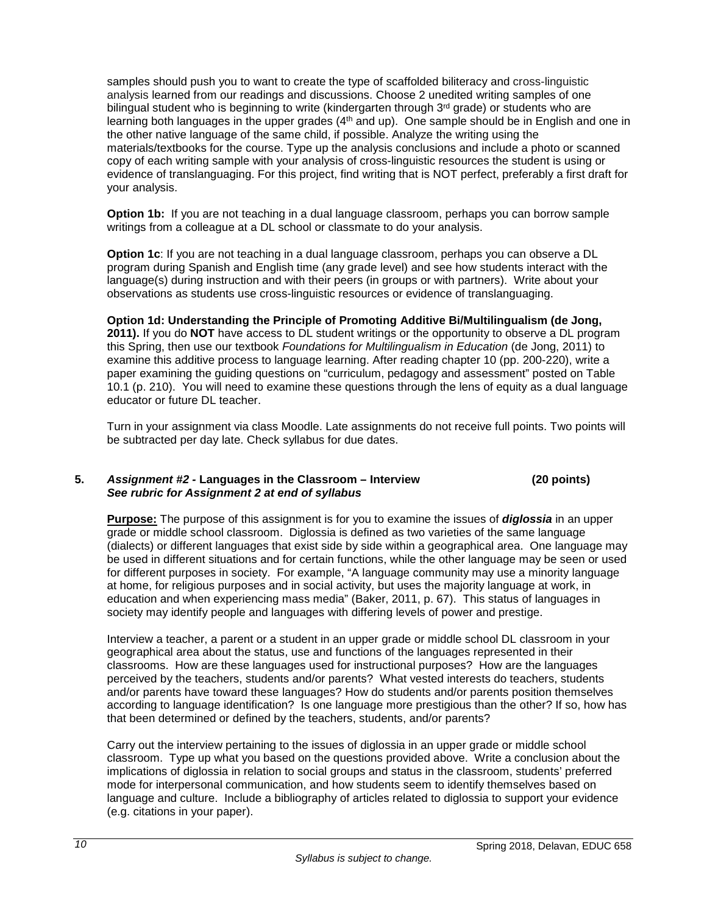samples should push you to want to create the type of scaffolded biliteracy and cross-linguistic analysis learned from our readings and discussions. Choose 2 unedited writing samples of one bilingual student who is beginning to write (kindergarten through 3<sup>rd</sup> grade) or students who are learning both languages in the upper grades (4<sup>th</sup> and up). One sample should be in English and one in the other native language of the same child, if possible. Analyze the writing using the materials/textbooks for the course. Type up the analysis conclusions and include a photo or scanned copy of each writing sample with your analysis of cross-linguistic resources the student is using or evidence of translanguaging. For this project, find writing that is NOT perfect, preferably a first draft for your analysis.

**Option 1b:** If you are not teaching in a dual language classroom, perhaps you can borrow sample writings from a colleague at a DL school or classmate to do your analysis.

**Option 1c**: If you are not teaching in a dual language classroom, perhaps you can observe a DL program during Spanish and English time (any grade level) and see how students interact with the language(s) during instruction and with their peers (in groups or with partners). Write about your observations as students use cross-linguistic resources or evidence of translanguaging.

**Option 1d: Understanding the Principle of Promoting Additive Bi/Multilingualism (de Jong, 2011).** If you do **NOT** have access to DL student writings or the opportunity to observe a DL program this Spring, then use our textbook *Foundations for Multilingualism in Education* (de Jong, 2011) to examine this additive process to language learning. After reading chapter 10 (pp. 200-220), write a paper examining the guiding questions on "curriculum, pedagogy and assessment" posted on Table 10.1 (p. 210). You will need to examine these questions through the lens of equity as a dual language educator or future DL teacher.

Turn in your assignment via class Moodle. Late assignments do not receive full points. Two points will be subtracted per day late. Check syllabus for due dates.

#### **5.** *Assignment #2 -* **Languages in the Classroom – Interview (20 points)** *See rubric for Assignment 2 at end of syllabus*

**Purpose:** The purpose of this assignment is for you to examine the issues of *diglossia* in an upper grade or middle school classroom. Diglossia is defined as two varieties of the same language (dialects) or different languages that exist side by side within a geographical area. One language may be used in different situations and for certain functions, while the other language may be seen or used for different purposes in society. For example, "A language community may use a minority language at home, for religious purposes and in social activity, but uses the majority language at work, in education and when experiencing mass media" (Baker, 2011, p. 67). This status of languages in society may identify people and languages with differing levels of power and prestige.

Interview a teacher, a parent or a student in an upper grade or middle school DL classroom in your geographical area about the status, use and functions of the languages represented in their classrooms. How are these languages used for instructional purposes? How are the languages perceived by the teachers, students and/or parents? What vested interests do teachers, students and/or parents have toward these languages? How do students and/or parents position themselves according to language identification? Is one language more prestigious than the other? If so, how has that been determined or defined by the teachers, students, and/or parents?

Carry out the interview pertaining to the issues of diglossia in an upper grade or middle school classroom. Type up what you based on the questions provided above. Write a conclusion about the implications of diglossia in relation to social groups and status in the classroom, students' preferred mode for interpersonal communication, and how students seem to identify themselves based on language and culture. Include a bibliography of articles related to diglossia to support your evidence (e.g. citations in your paper).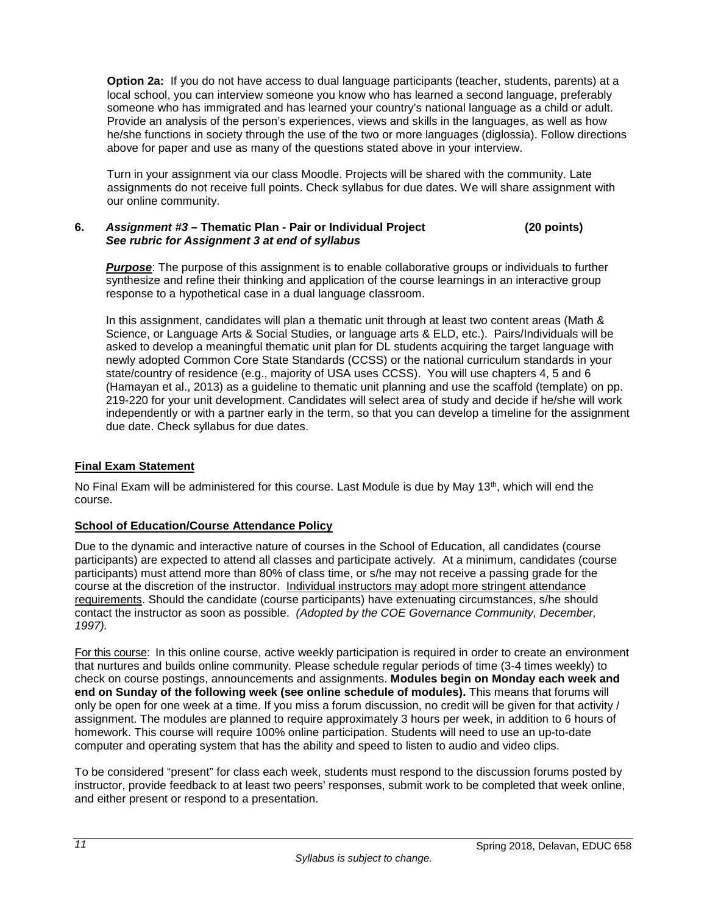**Option 2a:** If you do not have access to dual language participants (teacher, students, parents) at a local school, you can interview someone you know who has learned a second language, preferably someone who has immigrated and has learned your country's national language as a child or adult. Provide an analysis of the person's experiences, views and skills in the languages, as well as how he/she functions in society through the use of the two or more languages (diglossia). Follow directions above for paper and use as many of the questions stated above in your interview.

Turn in your assignment via our class Moodle. Projects will be shared with the community. Late assignments do not receive full points. Check syllabus for due dates. We will share assignment with our online community.

#### **6.** *Assignment #3 –* **Thematic Plan - Pair or Individual Project (20 points)** *See rubric for Assignment 3 at end of syllabus*

*Purpose*: The purpose of this assignment is to enable collaborative groups or individuals to further synthesize and refine their thinking and application of the course learnings in an interactive group response to a hypothetical case in a dual language classroom.

In this assignment, candidates will plan a thematic unit through at least two content areas (Math & Science, or Language Arts & Social Studies, or language arts & ELD, etc.). Pairs/Individuals will be asked to develop a meaningful thematic unit plan for DL students acquiring the target language with newly adopted Common Core State Standards (CCSS) or the national curriculum standards in your state/country of residence (e.g., majority of USA uses CCSS). You will use chapters 4, 5 and 6 (Hamayan et al., 2013) as a guideline to thematic unit planning and use the scaffold (template) on pp. 219-220 for your unit development. Candidates will select area of study and decide if he/she will work independently or with a partner early in the term, so that you can develop a timeline for the assignment due date. Check syllabus for due dates.

# <span id="page-12-0"></span>**Final Exam Statement**

No Final Exam will be administered for this course. Last Module is due by May 13th, which will end the course.

## <span id="page-12-1"></span>**School of Education/Course Attendance Policy**

Due to the dynamic and interactive nature of courses in the School of Education, all candidates (course participants) are expected to attend all classes and participate actively. At a minimum, candidates (course participants) must attend more than 80% of class time, or s/he may not receive a passing grade for the course at the discretion of the instructor. Individual instructors may adopt more stringent attendance requirements. Should the candidate (course participants) have extenuating circumstances, s/he should contact the instructor as soon as possible. *(Adopted by the COE Governance Community, December, 1997).*

For this course: In this online course, active weekly participation is required in order to create an environment that nurtures and builds online community. Please schedule regular periods of time (3-4 times weekly) to check on course postings, announcements and assignments. **Modules begin on Monday each week and end on Sunday of the following week (see online schedule of modules).** This means that forums will only be open for one week at a time. If you miss a forum discussion, no credit will be given for that activity / assignment. The modules are planned to require approximately 3 hours per week, in addition to 6 hours of homework. This course will require 100% online participation. Students will need to use an up-to-date computer and operating system that has the ability and speed to listen to audio and video clips.

To be considered "present" for class each week, students must respond to the discussion forums posted by instructor, provide feedback to at least two peers' responses, submit work to be completed that week online, and either present or respond to a presentation.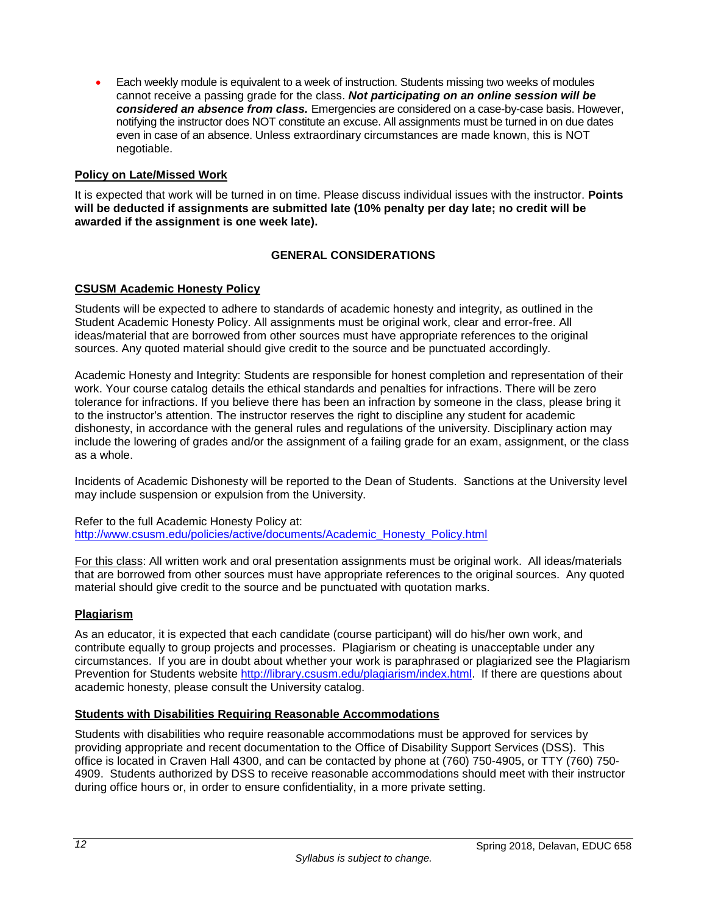• Each weekly module is equivalent to a week of instruction. Students missing two weeks of modules cannot receive a passing grade for the class. *Not participating on an online session will be considered an absence from class.* Emergencies are considered on a case-by-case basis. However, notifying the instructor does NOT constitute an excuse. All assignments must be turned in on due dates even in case of an absence. Unless extraordinary circumstances are made known, this is NOT negotiable.

## <span id="page-13-0"></span>**Policy on Late/Missed Work**

It is expected that work will be turned in on time. Please discuss individual issues with the instructor. **Points will be deducted if assignments are submitted late (10% penalty per day late; no credit will be awarded if the assignment is one week late).**

## **GENERAL CONSIDERATIONS**

## <span id="page-13-2"></span><span id="page-13-1"></span>**CSUSM Academic Honesty Policy**

Students will be expected to adhere to standards of academic honesty and integrity, as outlined in the Student Academic Honesty Policy. All assignments must be original work, clear and error-free. All ideas/material that are borrowed from other sources must have appropriate references to the original sources. Any quoted material should give credit to the source and be punctuated accordingly.

Academic Honesty and Integrity: Students are responsible for honest completion and representation of their work. Your course catalog details the ethical standards and penalties for infractions. There will be zero tolerance for infractions. If you believe there has been an infraction by someone in the class, please bring it to the instructor's attention. The instructor reserves the right to discipline any student for academic dishonesty, in accordance with the general rules and regulations of the university. Disciplinary action may include the lowering of grades and/or the assignment of a failing grade for an exam, assignment, or the class as a whole.

Incidents of Academic Dishonesty will be reported to the Dean of Students. Sanctions at the University level may include suspension or expulsion from the University.

Refer to the full Academic Honesty Policy at: [http://www.csusm.edu/policies/active/documents/Academic\\_Honesty\\_Policy.html](http://www.csusm.edu/policies/active/documents/Academic_Honesty_Policy.html)

For this class: All written work and oral presentation assignments must be original work. All ideas/materials that are borrowed from other sources must have appropriate references to the original sources. Any quoted material should give credit to the source and be punctuated with quotation marks.

## <span id="page-13-3"></span>**Plagiarism**

As an educator, it is expected that each candidate (course participant) will do his/her own work, and contribute equally to group projects and processes. Plagiarism or cheating is unacceptable under any circumstances. If you are in doubt about whether your work is paraphrased or plagiarized see the Plagiarism Prevention for Students website [http://library.csusm.edu/plagiarism/index.html.](http://library.csusm.edu/plagiarism/index.html) If there are questions about academic honesty, please consult the University catalog.

#### <span id="page-13-4"></span>**Students with Disabilities Requiring Reasonable Accommodations**

Students with disabilities who require reasonable accommodations must be approved for services by providing appropriate and recent documentation to the Office of Disability Support Services (DSS). This office is located in Craven Hall 4300, and can be contacted by phone at (760) 750-4905, or TTY (760) 750- 4909. Students authorized by DSS to receive reasonable accommodations should meet with their instructor during office hours or, in order to ensure confidentiality, in a more private setting.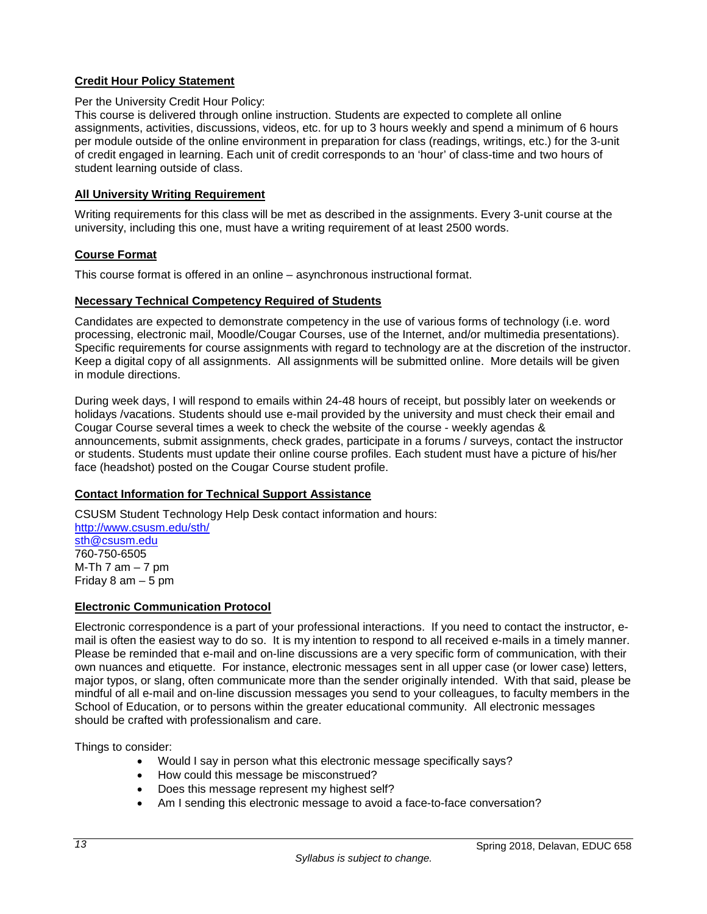## <span id="page-14-0"></span>**Credit Hour Policy Statement**

#### Per the University Credit Hour Policy:

This course is delivered through online instruction. Students are expected to complete all online assignments, activities, discussions, videos, etc. for up to 3 hours weekly and spend a minimum of 6 hours per module outside of the online environment in preparation for class (readings, writings, etc.) for the 3-unit of credit engaged in learning. Each unit of credit corresponds to an 'hour' of class-time and two hours of student learning outside of class.

## <span id="page-14-1"></span>**All University Writing Requirement**

Writing requirements for this class will be met as described in the assignments. Every 3-unit course at the university, including this one, must have a writing requirement of at least 2500 words.

## <span id="page-14-2"></span>**Course Format**

This course format is offered in an online – asynchronous instructional format.

## <span id="page-14-3"></span>**Necessary Technical Competency Required of Students**

Candidates are expected to demonstrate competency in the use of various forms of technology (i.e. word processing, electronic mail, Moodle/Cougar Courses, use of the Internet, and/or multimedia presentations). Specific requirements for course assignments with regard to technology are at the discretion of the instructor. Keep a digital copy of all assignments. All assignments will be submitted online. More details will be given in module directions.

During week days, I will respond to emails within 24-48 hours of receipt, but possibly later on weekends or holidays /vacations. Students should use e-mail provided by the university and must check their email and Cougar Course several times a week to check the website of the course - weekly agendas & announcements, submit assignments, check grades, participate in a forums / surveys, contact the instructor or students. Students must update their online course profiles. Each student must have a picture of his/her face (headshot) posted on the Cougar Course student profile.

## <span id="page-14-4"></span>**Contact Information for Technical Support Assistance**

CSUSM Student Technology Help Desk contact information and hours: <http://www.csusm.edu/sth/> [sth@csusm.edu](mailto:sth@csusm.edu) 760-750-6505 M-Th 7 am  $-7$  pm Friday 8 am – 5 pm

## <span id="page-14-5"></span>**Electronic Communication Protocol**

Electronic correspondence is a part of your professional interactions. If you need to contact the instructor, email is often the easiest way to do so. It is my intention to respond to all received e-mails in a timely manner. Please be reminded that e-mail and on-line discussions are a very specific form of communication, with their own nuances and etiquette. For instance, electronic messages sent in all upper case (or lower case) letters, major typos, or slang, often communicate more than the sender originally intended. With that said, please be mindful of all e-mail and on-line discussion messages you send to your colleagues, to faculty members in the School of Education, or to persons within the greater educational community. All electronic messages should be crafted with professionalism and care.

Things to consider:

- Would I say in person what this electronic message specifically says?
- How could this message be misconstrued?
- Does this message represent my highest self?
- Am I sending this electronic message to avoid a face-to-face conversation?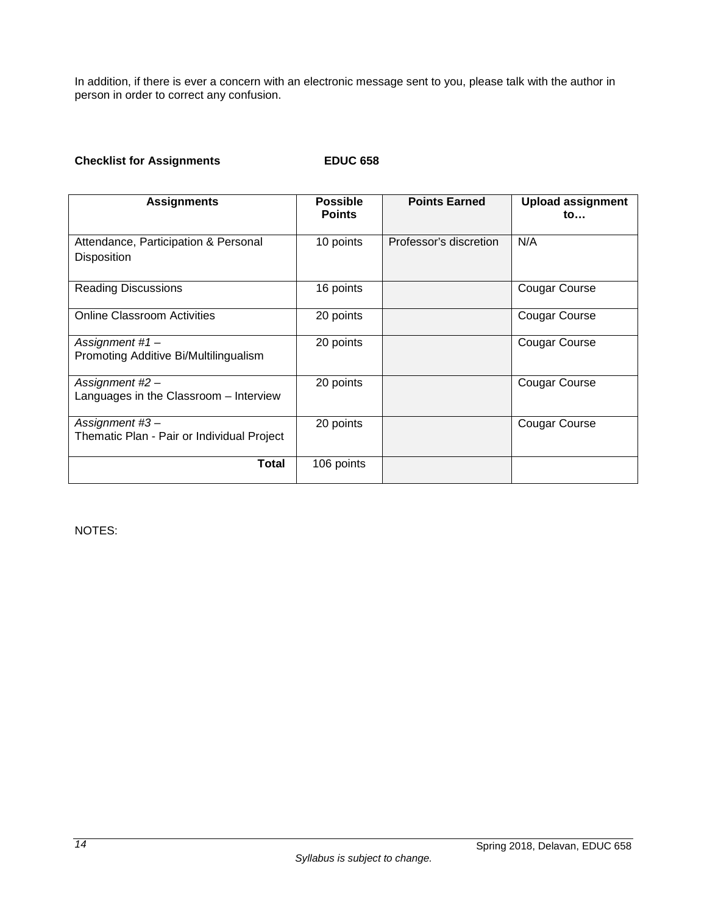In addition, if there is ever a concern with an electronic message sent to you, please talk with the author in person in order to correct any confusion.

# **Checklist for Assignments EDUC 658**

| <b>Assignments</b>                                           | <b>Possible</b><br><b>Points</b> | <b>Points Earned</b>   | <b>Upload assignment</b><br>$\mathsf{to}$ |
|--------------------------------------------------------------|----------------------------------|------------------------|-------------------------------------------|
| Attendance, Participation & Personal<br><b>Disposition</b>   | 10 points                        | Professor's discretion | N/A                                       |
| <b>Reading Discussions</b>                                   | 16 points                        |                        | Cougar Course                             |
| <b>Online Classroom Activities</b>                           | 20 points                        |                        | <b>Cougar Course</b>                      |
| Assignment #1-<br>Promoting Additive Bi/Multilingualism      | 20 points                        |                        | <b>Cougar Course</b>                      |
| Assignment #2 -<br>Languages in the Classroom - Interview    | 20 points                        |                        | <b>Cougar Course</b>                      |
| Assignment #3-<br>Thematic Plan - Pair or Individual Project | 20 points                        |                        | <b>Cougar Course</b>                      |
| <b>Total</b>                                                 | 106 points                       |                        |                                           |

NOTES: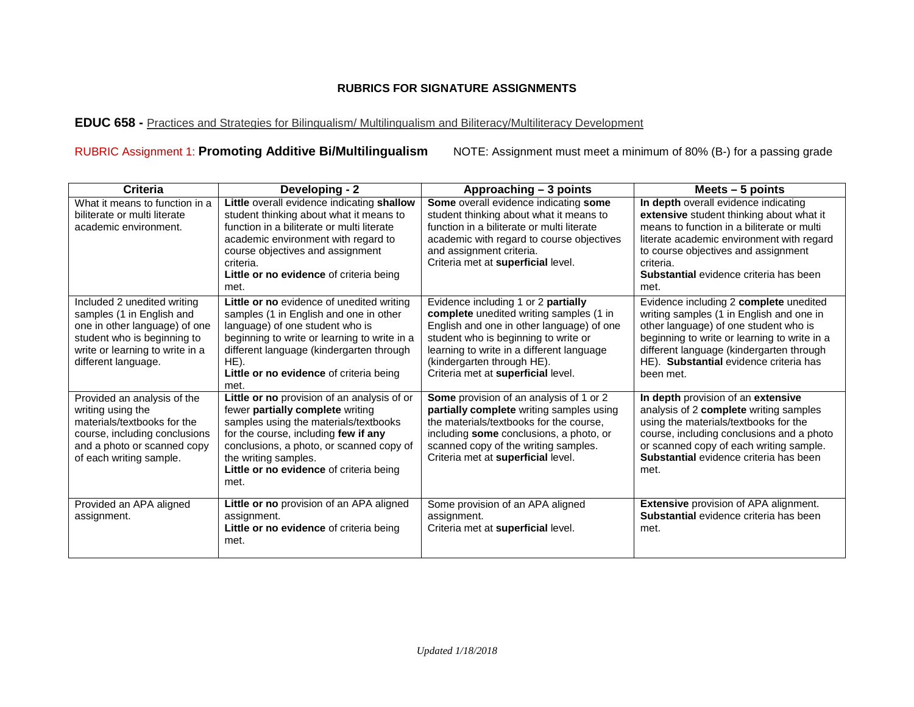# **RUBRICS FOR SIGNATURE ASSIGNMENTS**

# **EDUC 658 -** Practices and Strategies for Bilingualism/ Multilingualism and Biliteracy/Multiliteracy Development

# RUBRIC Assignment 1: **Promoting Additive Bi/Multilingualism** NOTE: Assignment must meet a minimum of 80% (B-) for a passing grade

<span id="page-16-0"></span>

| Criteria                                                                                                                                                                           | Developing - 2                                                                                                                                                                                                                                                                          | Approaching - 3 points                                                                                                                                                                                                                                                               | Meets $-5$ points                                                                                                                                                                                                                                                                 |
|------------------------------------------------------------------------------------------------------------------------------------------------------------------------------------|-----------------------------------------------------------------------------------------------------------------------------------------------------------------------------------------------------------------------------------------------------------------------------------------|--------------------------------------------------------------------------------------------------------------------------------------------------------------------------------------------------------------------------------------------------------------------------------------|-----------------------------------------------------------------------------------------------------------------------------------------------------------------------------------------------------------------------------------------------------------------------------------|
| What it means to function in a<br>biliterate or multi literate<br>academic environment.                                                                                            | Little overall evidence indicating shallow<br>student thinking about what it means to<br>function in a biliterate or multi literate<br>academic environment with regard to<br>course objectives and assignment<br>criteria.<br>Little or no evidence of criteria being<br>met.          | Some overall evidence indicating some<br>student thinking about what it means to<br>function in a biliterate or multi literate<br>academic with regard to course objectives<br>and assignment criteria.<br>Criteria met at superficial level.                                        | In depth overall evidence indicating<br>extensive student thinking about what it<br>means to function in a biliterate or multi<br>literate academic environment with regard<br>to course objectives and assignment<br>criteria.<br>Substantial evidence criteria has been<br>met. |
| Included 2 unedited writing<br>samples (1 in English and<br>one in other language) of one<br>student who is beginning to<br>write or learning to write in a<br>different language. | Little or no evidence of unedited writing<br>samples (1 in English and one in other<br>language) of one student who is<br>beginning to write or learning to write in a<br>different language (kindergarten through<br>HE).<br>Little or no evidence of criteria being<br>met.           | Evidence including 1 or 2 partially<br>complete unedited writing samples (1 in<br>English and one in other language) of one<br>student who is beginning to write or<br>learning to write in a different language<br>(kindergarten through HE).<br>Criteria met at superficial level. | Evidence including 2 complete unedited<br>writing samples (1 in English and one in<br>other language) of one student who is<br>beginning to write or learning to write in a<br>different language (kindergarten through<br>HE). Substantial evidence criteria has<br>been met.    |
| Provided an analysis of the<br>writing using the<br>materials/textbooks for the<br>course, including conclusions<br>and a photo or scanned copy<br>of each writing sample.         | Little or no provision of an analysis of or<br>fewer partially complete writing<br>samples using the materials/textbooks<br>for the course, including few if any<br>conclusions, a photo, or scanned copy of<br>the writing samples.<br>Little or no evidence of criteria being<br>met. | Some provision of an analysis of 1 or 2<br>partially complete writing samples using<br>the materials/textbooks for the course,<br>including some conclusions, a photo, or<br>scanned copy of the writing samples.<br>Criteria met at superficial level.                              | In depth provision of an extensive<br>analysis of 2 complete writing samples<br>using the materials/textbooks for the<br>course, including conclusions and a photo<br>or scanned copy of each writing sample.<br>Substantial evidence criteria has been<br>met.                   |
| Provided an APA aligned<br>assignment.                                                                                                                                             | Little or no provision of an APA aligned<br>assignment.<br>Little or no evidence of criteria being<br>met.                                                                                                                                                                              | Some provision of an APA aligned<br>assignment.<br>Criteria met at superficial level.                                                                                                                                                                                                | <b>Extensive provision of APA alignment.</b><br>Substantial evidence criteria has been<br>met.                                                                                                                                                                                    |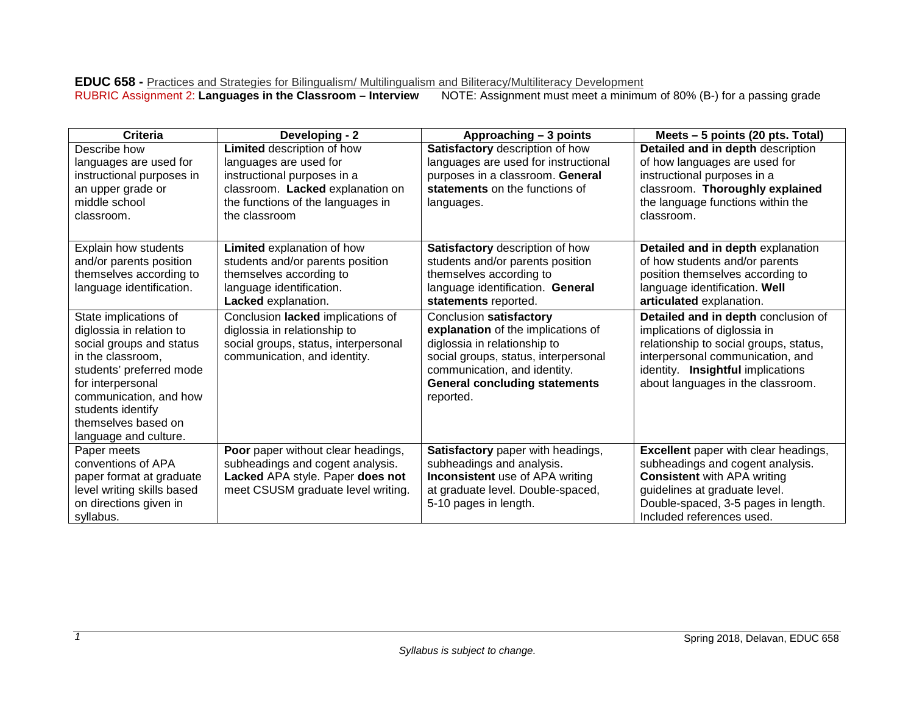#### **EDUC 658 -** Practices and Strategies for Bilingualism/ Multilingualism and Biliteracy/Multiliteracy Development<br>RUBRIC Assignment 2: Languages in the Classroom – Interview NOTE: Assignment must meet a minimu **NOTE:** Assignment must meet a minimum of 80% (B-) for a passing grade

| <b>Criteria</b>                                                                                                                                                                                                                                    | Developing - 2                                                                                                                                                                | Approaching - 3 points                                                                                                                                                                                                     | Meets - 5 points (20 pts. Total)                                                                                                                                                                                            |
|----------------------------------------------------------------------------------------------------------------------------------------------------------------------------------------------------------------------------------------------------|-------------------------------------------------------------------------------------------------------------------------------------------------------------------------------|----------------------------------------------------------------------------------------------------------------------------------------------------------------------------------------------------------------------------|-----------------------------------------------------------------------------------------------------------------------------------------------------------------------------------------------------------------------------|
| Describe how<br>languages are used for<br>instructional purposes in<br>an upper grade or<br>middle school<br>classroom.                                                                                                                            | Limited description of how<br>languages are used for<br>instructional purposes in a<br>classroom. Lacked explanation on<br>the functions of the languages in<br>the classroom | Satisfactory description of how<br>languages are used for instructional<br>purposes in a classroom. General<br>statements on the functions of<br>languages.                                                                | Detailed and in depth description<br>of how languages are used for<br>instructional purposes in a<br>classroom. Thoroughly explained<br>the language functions within the<br>classroom.                                     |
| Explain how students<br>and/or parents position<br>themselves according to<br>language identification.                                                                                                                                             | Limited explanation of how<br>students and/or parents position<br>themselves according to<br>language identification.<br>Lacked explanation.                                  | Satisfactory description of how<br>students and/or parents position<br>themselves according to<br>language identification. General<br>statements reported.                                                                 | Detailed and in depth explanation<br>of how students and/or parents<br>position themselves according to<br>language identification. Well<br>articulated explanation.                                                        |
| State implications of<br>diglossia in relation to<br>social groups and status<br>in the classroom,<br>students' preferred mode<br>for interpersonal<br>communication, and how<br>students identify<br>themselves based on<br>language and culture. | Conclusion lacked implications of<br>diglossia in relationship to<br>social groups, status, interpersonal<br>communication, and identity.                                     | Conclusion satisfactory<br>explanation of the implications of<br>diglossia in relationship to<br>social groups, status, interpersonal<br>communication, and identity.<br><b>General concluding statements</b><br>reported. | Detailed and in depth conclusion of<br>implications of diglossia in<br>relationship to social groups, status,<br>interpersonal communication, and<br>identity. Insightful implications<br>about languages in the classroom. |
| Paper meets<br>conventions of APA<br>paper format at graduate<br>level writing skills based<br>on directions given in<br>syllabus.                                                                                                                 | Poor paper without clear headings,<br>subheadings and cogent analysis.<br>Lacked APA style. Paper does not<br>meet CSUSM graduate level writing.                              | Satisfactory paper with headings,<br>subheadings and analysis.<br><b>Inconsistent</b> use of APA writing<br>at graduate level. Double-spaced,<br>5-10 pages in length.                                                     | <b>Excellent</b> paper with clear headings,<br>subheadings and cogent analysis.<br><b>Consistent with APA writing</b><br>guidelines at graduate level.<br>Double-spaced, 3-5 pages in length.<br>Included references used.  |